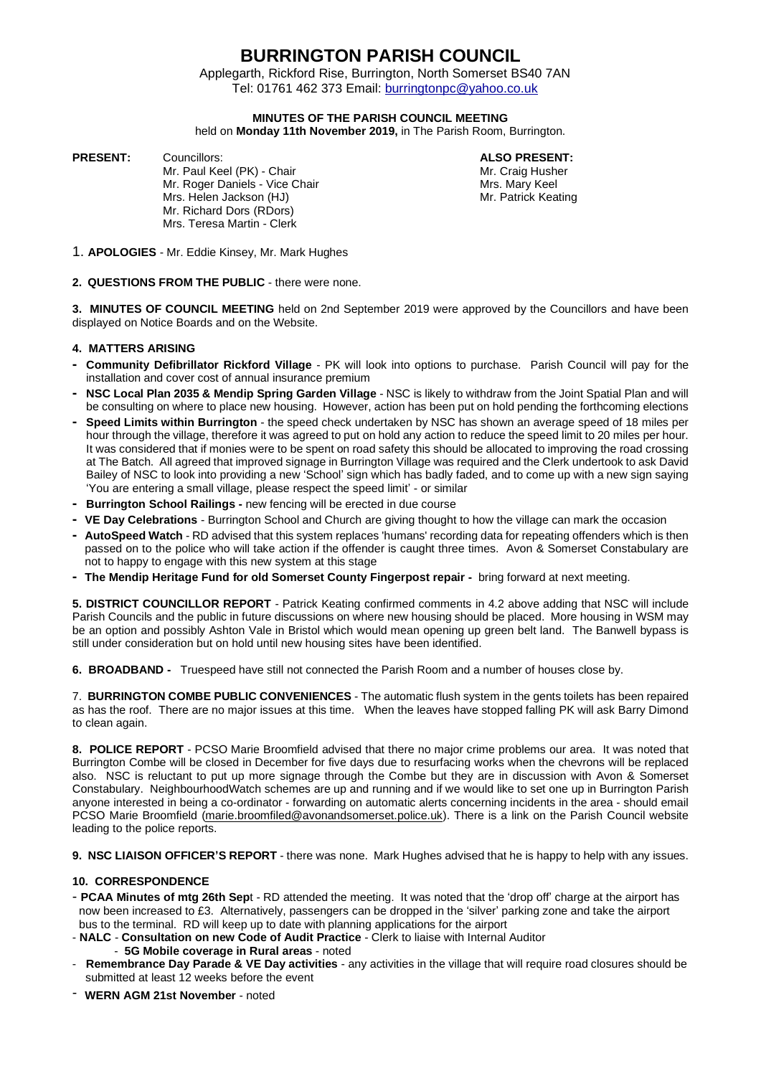## **BURRINGTON PARISH COUNCIL**

 Applegarth, Rickford Rise, Burrington, North Somerset BS40 7AN Tel: 01761 462 373 Email: [burringtonpc@yahoo.co.uk](mailto:burringtonpc@yahoo.co.uk)

#### **MINUTES OF THE PARISH COUNCIL MEETING**

held on **Monday 11th November 2019,** in The Parish Room, Burrington.

**PRESENT:** Councillors: **ALSO PRESENT:**

Mr. Paul Keel (PK) - Chair Microsoft Chair Mr. Craig Husher<br>Mr. Roger Daniels - Vice Chair Mrs. Mary Keel Mr. Roger Daniels - Vice Chair Mrs. Helen Jackson (HJ) Mrs. Patrick Keating Mr. Richard Dors (RDors) Mrs. Teresa Martin - Clerk

- 1. **APOLOGIES** Mr. Eddie Kinsey, Mr. Mark Hughes
- **2. QUESTIONS FROM THE PUBLIC** there were none.

**3. MINUTES OF COUNCIL MEETING** held on 2nd September 2019 were approved by the Councillors and have been displayed on Notice Boards and on the Website.

#### **4. MATTERS ARISING**

- **- Community Defibrillator Rickford Village** PK will look into options to purchase. Parish Council will pay for the installation and cover cost of annual insurance premium
- **- NSC Local Plan 2035 & Mendip Spring Garden Village** NSC is likely to withdraw from the Joint Spatial Plan and will be consulting on where to place new housing. However, action has been put on hold pending the forthcoming elections
- **- Speed Limits within Burrington** the speed check undertaken by NSC has shown an average speed of 18 miles per hour through the village, therefore it was agreed to put on hold any action to reduce the speed limit to 20 miles per hour. It was considered that if monies were to be spent on road safety this should be allocated to improving the road crossing at The Batch. All agreed that improved signage in Burrington Village was required and the Clerk undertook to ask David Bailey of NSC to look into providing a new 'School' sign which has badly faded, and to come up with a new sign saying 'You are entering a small village, please respect the speed limit' - or similar
- **- Burrington School Railings -** new fencing will be erected in due course
- **- VE Day Celebrations** Burrington School and Church are giving thought to how the village can mark the occasion
- **- AutoSpeed Watch** RD advised that this system replaces 'humans' recording data for repeating offenders which is then passed on to the police who will take action if the offender is caught three times. Avon & Somerset Constabulary are not to happy to engage with this new system at this stage
- **- The Mendip Heritage Fund for old Somerset County Fingerpost repair -** bring forward at next meeting.

**5. DISTRICT COUNCILLOR REPORT** - Patrick Keating confirmed comments in 4.2 above adding that NSC will include Parish Councils and the public in future discussions on where new housing should be placed. More housing in WSM may be an option and possibly Ashton Vale in Bristol which would mean opening up green belt land. The Banwell bypass is still under consideration but on hold until new housing sites have been identified.

**6. BROADBAND -** Truespeed have still not connected the Parish Room and a number of houses close by.

7. **BURRINGTON COMBE PUBLIC CONVENIENCES** - The automatic flush system in the gents toilets has been repaired as has the roof. There are no major issues at this time. When the leaves have stopped falling PK will ask Barry Dimond to clean again.

**8. POLICE REPORT** - PCSO Marie Broomfield advised that there no major crime problems our area. It was noted that Burrington Combe will be closed in December for five days due to resurfacing works when the chevrons will be replaced also. NSC is reluctant to put up more signage through the Combe but they are in discussion with Avon & Somerset Constabulary. NeighbourhoodWatch schemes are up and running and if we would like to set one up in Burrington Parish anyone interested in being a co-ordinator - forwarding on automatic alerts concerning incidents in the area - should email PCSO Marie Broomfield ([marie.broomfiled@avonandsomerset.police.uk](mailto:marie.broomfiled@avonandsomerset.police.uk)). There is a link on the Parish Council website leading to the police reports.

**9. NSC LIAISON OFFICER'S REPORT** - there was none. Mark Hughes advised that he is happy to help with any issues.

#### **10. CORRESPONDENCE**

- **PCAA Minutes of mtg 26th Sep**t RD attended the meeting. It was noted that the 'drop off' charge at the airport has now been increased to £3. Alternatively, passengers can be dropped in the 'silver' parking zone and take the airport bus to the terminal. RD will keep up to date with planning applications for the airport
- **NALC Consultation on new Code of Audit Practice** Clerk to liaise with Internal Auditor - **5G Mobile coverage in Rural areas** - noted
- **Remembrance Day Parade & VE Day activities** any activities in the village that will require road closures should be submitted at least 12 weeks before the event
- **WERN AGM 21st November** noted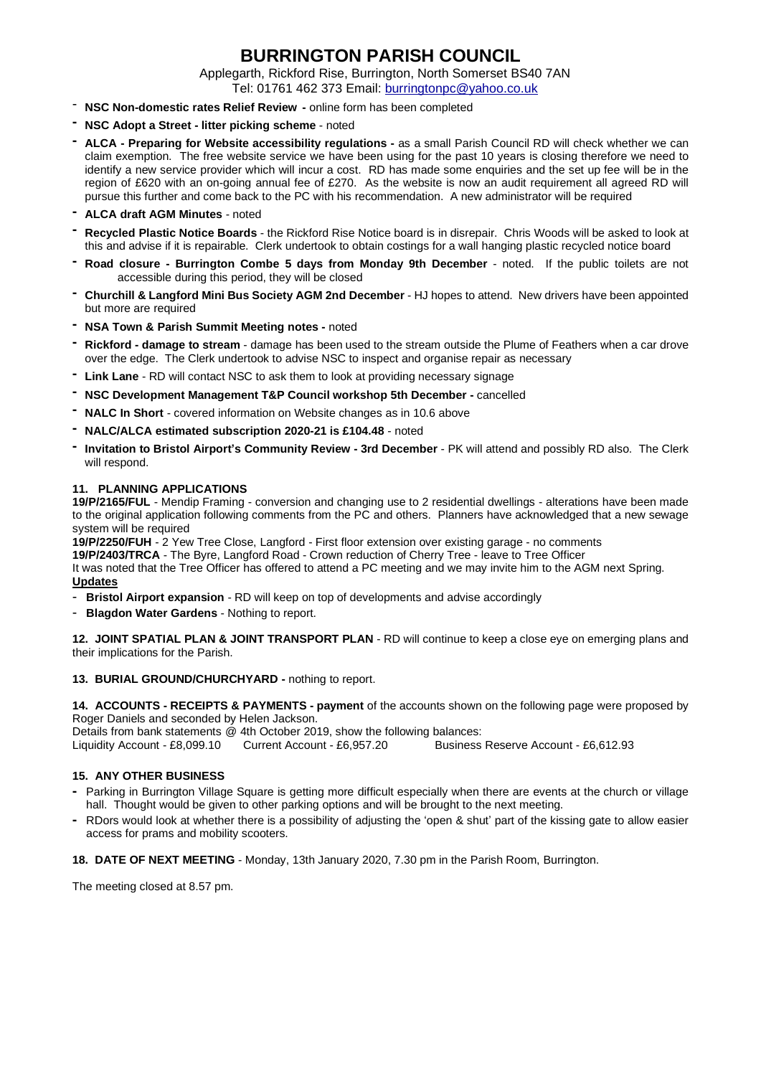## **BURRINGTON PARISH COUNCIL**

Applegarth, Rickford Rise, Burrington, North Somerset BS40 7AN

- Tel: 01761 462 373 Email: [burringtonpc@yahoo.co.uk](mailto:burringtonpc@yahoo.co.uk)
- **NSC Non-domestic rates Relief Review -** online form has been completed
- **- NSC Adopt a Street - litter picking scheme** noted
- **- ALCA - Preparing for Website accessibility regulations -** as a small Parish Council RD will check whether we can claim exemption. The free website service we have been using for the past 10 years is closing therefore we need to identify a new service provider which will incur a cost. RD has made some enquiries and the set up fee will be in the region of £620 with an on-going annual fee of £270. As the website is now an audit requirement all agreed RD will pursue this further and come back to the PC with his recommendation. A new administrator will be required
- **- ALCA draft AGM Minutes** noted
- **- Recycled Plastic Notice Boards** the Rickford Rise Notice board is in disrepair. Chris Woods will be asked to look at this and advise if it is repairable. Clerk undertook to obtain costings for a wall hanging plastic recycled notice board
- **- Road closure - Burrington Combe 5 days from Monday 9th December** noted. If the public toilets are not accessible during this period, they will be closed
- **- Churchill & Langford Mini Bus Society AGM 2nd December** HJ hopes to attend. New drivers have been appointed but more are required
- **- NSA Town & Parish Summit Meeting notes -** noted
- **- Rickford - damage to stream** damage has been used to the stream outside the Plume of Feathers when a car drove over the edge. The Clerk undertook to advise NSC to inspect and organise repair as necessary
- **- Link Lane** RD will contact NSC to ask them to look at providing necessary signage
- **- NSC Development Management T&P Council workshop 5th December -** cancelled
- **- NALC In Short** covered information on Website changes as in 10.6 above
- **- NALC/ALCA estimated subscription 2020-21 is £104.48** noted
- **- Invitation to Bristol Airport's Community Review - 3rd December** PK will attend and possibly RD also. The Clerk will respond.

#### **11. PLANNING APPLICATIONS**

**19/P/2165/FUL** - Mendip Framing - conversion and changing use to 2 residential dwellings - alterations have been made to the original application following comments from the PC and others. Planners have acknowledged that a new sewage system will be required

**19/P/2250/FUH** - 2 Yew Tree Close, Langford - First floor extension over existing garage - no comments **19/P/2403/TRCA** - The Byre, Langford Road - Crown reduction of Cherry Tree - leave to Tree Officer It was noted that the Tree Officer has offered to attend a PC meeting and we may invite him to the AGM next Spring. **Updates**

- **Bristol Airport expansion** RD will keep on top of developments and advise accordingly
- **Blagdon Water Gardens** Nothing to report.

**12. JOINT SPATIAL PLAN & JOINT TRANSPORT PLAN** - RD will continue to keep a close eye on emerging plans and their implications for the Parish.

#### **13. BURIAL GROUND/CHURCHYARD -** nothing to report.

**14. ACCOUNTS - RECEIPTS & PAYMENTS - payment** of the accounts shown on the following page were proposed by Roger Daniels and seconded by Helen Jackson.

Details from bank statements @ 4th October 2019, show the following balances:

Liquidity Account - £8,099.10 Current Account - £6,957.20 Business Reserve Account - £6,612.93

#### **15. ANY OTHER BUSINESS**

- **-** Parking in Burrington Village Square is getting more difficult especially when there are events at the church or village hall. Thought would be given to other parking options and will be brought to the next meeting.
- **-** RDors would look at whether there is a possibility of adjusting the 'open & shut' part of the kissing gate to allow easier access for prams and mobility scooters.

**18. DATE OF NEXT MEETING** - Monday, 13th January 2020, 7.30 pm in the Parish Room, Burrington.

The meeting closed at 8.57 pm.